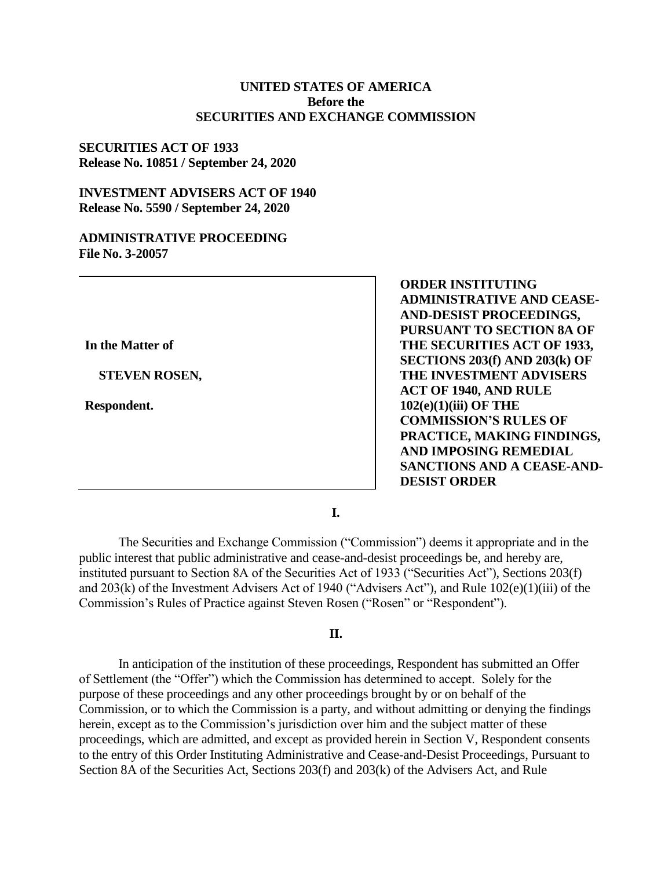## **UNITED STATES OF AMERICA Before the SECURITIES AND EXCHANGE COMMISSION**

## **SECURITIES ACT OF 1933 Release No. 10851 / September 24, 2020**

## **INVESTMENT ADVISERS ACT OF 1940 Release No. 5590 / September 24, 2020**

#### **ADMINISTRATIVE PROCEEDING File No. 3-20057**

**In the Matter of**

**STEVEN ROSEN,**

**Respondent.**

**ORDER INSTITUTING ADMINISTRATIVE AND CEASE-AND-DESIST PROCEEDINGS, PURSUANT TO SECTION 8A OF THE SECURITIES ACT OF 1933, SECTIONS 203(f) AND 203(k) OF THE INVESTMENT ADVISERS ACT OF 1940, AND RULE 102(e)(1)(iii) OF THE COMMISSION'S RULES OF PRACTICE, MAKING FINDINGS, AND IMPOSING REMEDIAL SANCTIONS AND A CEASE-AND-DESIST ORDER** 

**I.**

The Securities and Exchange Commission ("Commission") deems it appropriate and in the public interest that public administrative and cease-and-desist proceedings be, and hereby are, instituted pursuant to Section 8A of the Securities Act of 1933 ("Securities Act"), Sections 203(f) and 203(k) of the Investment Advisers Act of 1940 ("Advisers Act"), and Rule 102(e)(1)(iii) of the Commission's Rules of Practice against Steven Rosen ("Rosen" or "Respondent").

## **II.**

In anticipation of the institution of these proceedings, Respondent has submitted an Offer of Settlement (the "Offer") which the Commission has determined to accept. Solely for the purpose of these proceedings and any other proceedings brought by or on behalf of the Commission, or to which the Commission is a party, and without admitting or denying the findings herein, except as to the Commission's jurisdiction over him and the subject matter of these proceedings, which are admitted, and except as provided herein in Section V, Respondent consents to the entry of this Order Instituting Administrative and Cease-and-Desist Proceedings, Pursuant to Section 8A of the Securities Act, Sections 203(f) and 203(k) of the Advisers Act, and Rule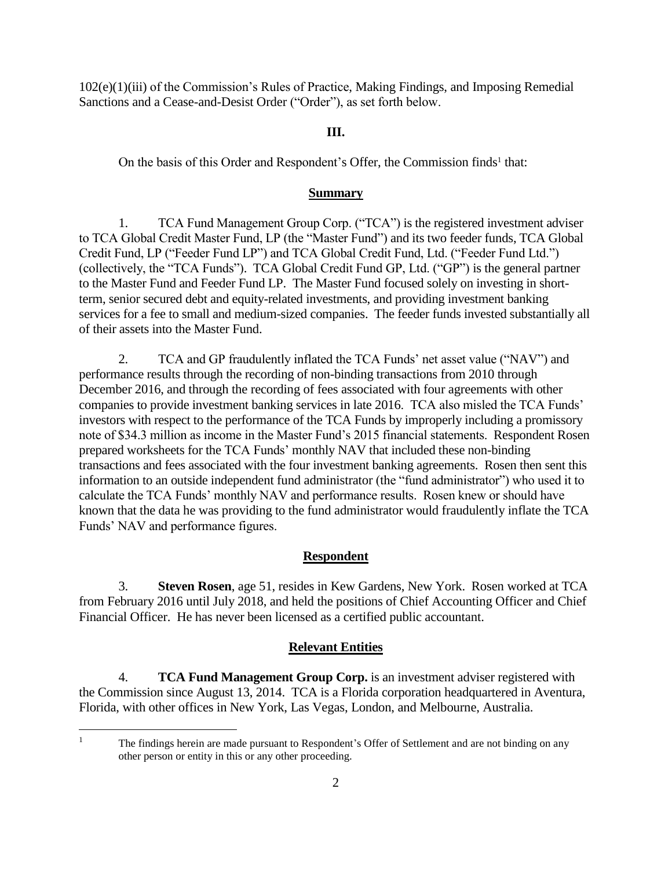102(e)(1)(iii) of the Commission's Rules of Practice, Making Findings, and Imposing Remedial Sanctions and a Cease-and-Desist Order ("Order"), as set forth below.

### **III.**

On the basis of this Order and Respondent's Offer, the Commission finds<sup>1</sup> that:

#### **Summary**

1. TCA Fund Management Group Corp. ("TCA") is the registered investment adviser to TCA Global Credit Master Fund, LP (the "Master Fund") and its two feeder funds, TCA Global Credit Fund, LP ("Feeder Fund LP") and TCA Global Credit Fund, Ltd. ("Feeder Fund Ltd.") (collectively, the "TCA Funds"). TCA Global Credit Fund GP, Ltd. ("GP") is the general partner to the Master Fund and Feeder Fund LP. The Master Fund focused solely on investing in shortterm, senior secured debt and equity-related investments, and providing investment banking services for a fee to small and medium-sized companies. The feeder funds invested substantially all of their assets into the Master Fund.

2. TCA and GP fraudulently inflated the TCA Funds' net asset value ("NAV") and performance results through the recording of non-binding transactions from 2010 through December 2016, and through the recording of fees associated with four agreements with other companies to provide investment banking services in late 2016. TCA also misled the TCA Funds' investors with respect to the performance of the TCA Funds by improperly including a promissory note of \$34.3 million as income in the Master Fund's 2015 financial statements. Respondent Rosen prepared worksheets for the TCA Funds' monthly NAV that included these non-binding transactions and fees associated with the four investment banking agreements. Rosen then sent this information to an outside independent fund administrator (the "fund administrator") who used it to calculate the TCA Funds' monthly NAV and performance results. Rosen knew or should have known that the data he was providing to the fund administrator would fraudulently inflate the TCA Funds' NAV and performance figures.

#### **Respondent**

3. **Steven Rosen**, age 51, resides in Kew Gardens, New York. Rosen worked at TCA from February 2016 until July 2018, and held the positions of Chief Accounting Officer and Chief Financial Officer. He has never been licensed as a certified public accountant.

#### **Relevant Entities**

4. **TCA Fund Management Group Corp.** is an investment adviser registered with the Commission since August 13, 2014. TCA is a Florida corporation headquartered in Aventura, Florida, with other offices in New York, Las Vegas, London, and Melbourne, Australia.

<sup>1</sup> The findings herein are made pursuant to Respondent's Offer of Settlement and are not binding on any other person or entity in this or any other proceeding.

 $\overline{a}$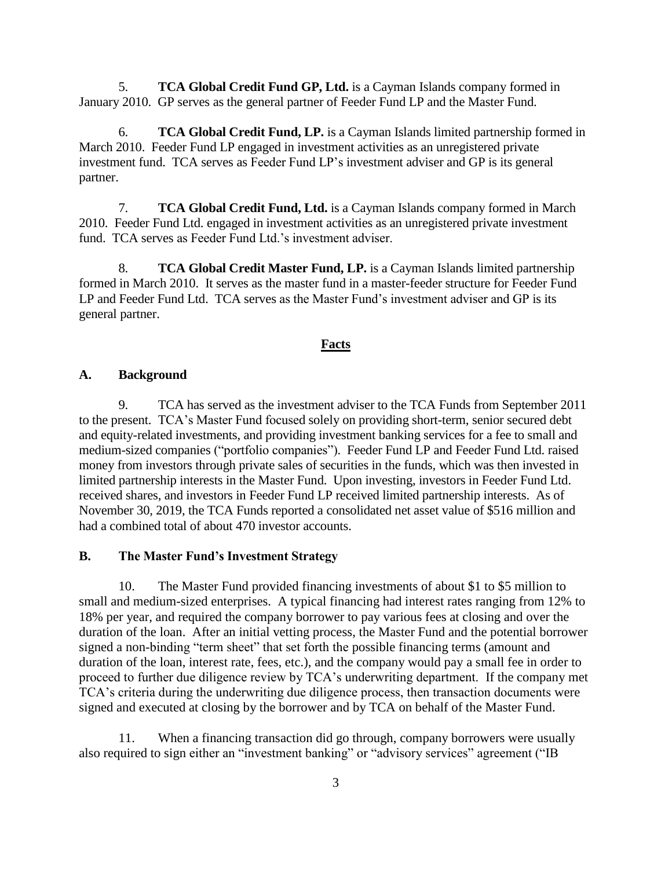5. **TCA Global Credit Fund GP, Ltd.** is a Cayman Islands company formed in January 2010. GP serves as the general partner of Feeder Fund LP and the Master Fund.

6. **TCA Global Credit Fund, LP.** is a Cayman Islands limited partnership formed in March 2010. Feeder Fund LP engaged in investment activities as an unregistered private investment fund. TCA serves as Feeder Fund LP's investment adviser and GP is its general partner.

7. **TCA Global Credit Fund, Ltd.** is a Cayman Islands company formed in March 2010. Feeder Fund Ltd. engaged in investment activities as an unregistered private investment fund. TCA serves as Feeder Fund Ltd.'s investment adviser.

8. **TCA Global Credit Master Fund, LP.** is a Cayman Islands limited partnership formed in March 2010. It serves as the master fund in a master-feeder structure for Feeder Fund LP and Feeder Fund Ltd. TCA serves as the Master Fund's investment adviser and GP is its general partner.

#### **Facts**

### **A. Background**

9. TCA has served as the investment adviser to the TCA Funds from September 2011 to the present. TCA's Master Fund focused solely on providing short-term, senior secured debt and equity-related investments, and providing investment banking services for a fee to small and medium-sized companies ("portfolio companies"). Feeder Fund LP and Feeder Fund Ltd. raised money from investors through private sales of securities in the funds, which was then invested in limited partnership interests in the Master Fund. Upon investing, investors in Feeder Fund Ltd. received shares, and investors in Feeder Fund LP received limited partnership interests. As of November 30, 2019, the TCA Funds reported a consolidated net asset value of \$516 million and had a combined total of about 470 investor accounts.

## **B. The Master Fund's Investment Strategy**

10. The Master Fund provided financing investments of about \$1 to \$5 million to small and medium-sized enterprises. A typical financing had interest rates ranging from 12% to 18% per year, and required the company borrower to pay various fees at closing and over the duration of the loan. After an initial vetting process, the Master Fund and the potential borrower signed a non-binding "term sheet" that set forth the possible financing terms (amount and duration of the loan, interest rate, fees, etc.), and the company would pay a small fee in order to proceed to further due diligence review by TCA's underwriting department. If the company met TCA's criteria during the underwriting due diligence process, then transaction documents were signed and executed at closing by the borrower and by TCA on behalf of the Master Fund.

11. When a financing transaction did go through, company borrowers were usually also required to sign either an "investment banking" or "advisory services" agreement ("IB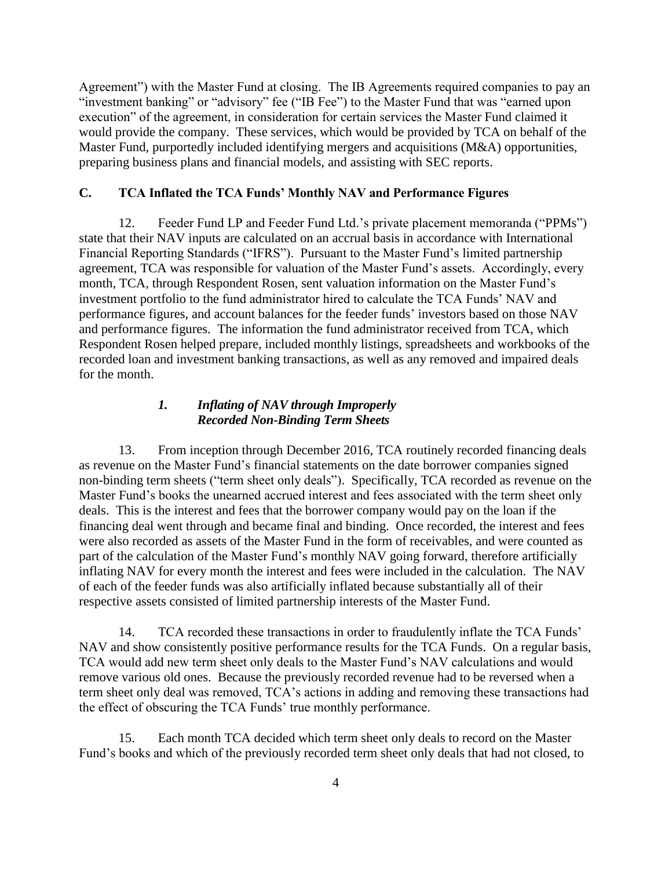Agreement") with the Master Fund at closing. The IB Agreements required companies to pay an "investment banking" or "advisory" fee ("IB Fee") to the Master Fund that was "earned upon execution" of the agreement, in consideration for certain services the Master Fund claimed it would provide the company. These services, which would be provided by TCA on behalf of the Master Fund, purportedly included identifying mergers and acquisitions (M&A) opportunities, preparing business plans and financial models, and assisting with SEC reports.

# **C. TCA Inflated the TCA Funds' Monthly NAV and Performance Figures**

12. Feeder Fund LP and Feeder Fund Ltd.'s private placement memoranda ("PPMs") state that their NAV inputs are calculated on an accrual basis in accordance with International Financial Reporting Standards ("IFRS"). Pursuant to the Master Fund's limited partnership agreement, TCA was responsible for valuation of the Master Fund's assets. Accordingly, every month, TCA, through Respondent Rosen, sent valuation information on the Master Fund's investment portfolio to the fund administrator hired to calculate the TCA Funds' NAV and performance figures, and account balances for the feeder funds' investors based on those NAV and performance figures. The information the fund administrator received from TCA, which Respondent Rosen helped prepare, included monthly listings, spreadsheets and workbooks of the recorded loan and investment banking transactions, as well as any removed and impaired deals for the month.

# *1. Inflating of NAV through Improperly Recorded Non-Binding Term Sheets*

13. From inception through December 2016, TCA routinely recorded financing deals as revenue on the Master Fund's financial statements on the date borrower companies signed non-binding term sheets ("term sheet only deals"). Specifically, TCA recorded as revenue on the Master Fund's books the unearned accrued interest and fees associated with the term sheet only deals. This is the interest and fees that the borrower company would pay on the loan if the financing deal went through and became final and binding. Once recorded, the interest and fees were also recorded as assets of the Master Fund in the form of receivables, and were counted as part of the calculation of the Master Fund's monthly NAV going forward, therefore artificially inflating NAV for every month the interest and fees were included in the calculation. The NAV of each of the feeder funds was also artificially inflated because substantially all of their respective assets consisted of limited partnership interests of the Master Fund.

14. TCA recorded these transactions in order to fraudulently inflate the TCA Funds' NAV and show consistently positive performance results for the TCA Funds. On a regular basis, TCA would add new term sheet only deals to the Master Fund's NAV calculations and would remove various old ones. Because the previously recorded revenue had to be reversed when a term sheet only deal was removed, TCA's actions in adding and removing these transactions had the effect of obscuring the TCA Funds' true monthly performance.

15. Each month TCA decided which term sheet only deals to record on the Master Fund's books and which of the previously recorded term sheet only deals that had not closed, to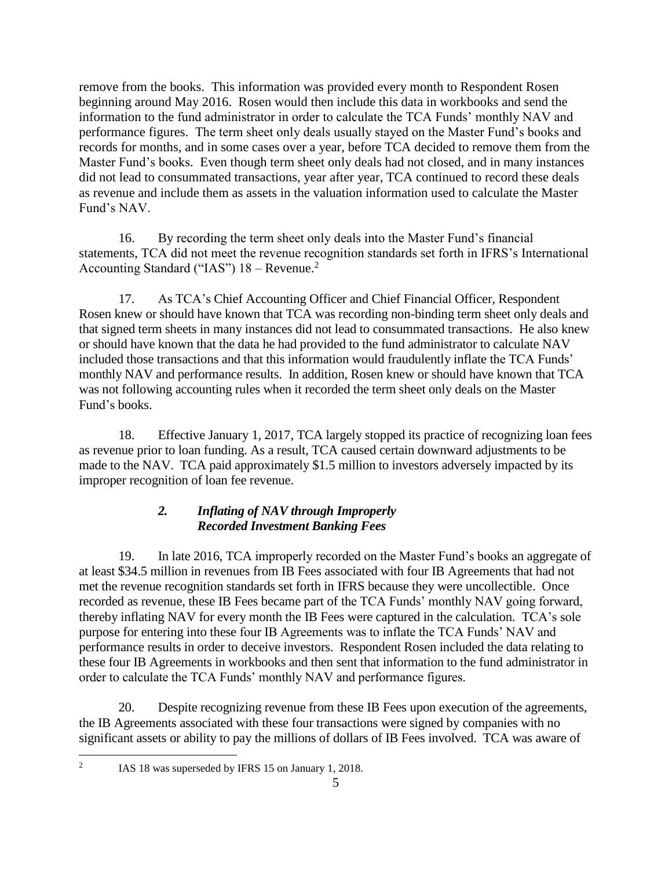remove from the books. This information was provided every month to Respondent Rosen beginning around May 2016. Rosen would then include this data in workbooks and send the information to the fund administrator in order to calculate the TCA Funds' monthly NAV and performance figures. The term sheet only deals usually stayed on the Master Fund's books and records for months, and in some cases over a year, before TCA decided to remove them from the Master Fund's books. Even though term sheet only deals had not closed, and in many instances did not lead to consummated transactions, year after year, TCA continued to record these deals as revenue and include them as assets in the valuation information used to calculate the Master Fund's NAV.

16. By recording the term sheet only deals into the Master Fund's financial statements, TCA did not meet the revenue recognition standards set forth in IFRS's International Accounting Standard ("IAS")  $18 -$ Revenue.<sup>2</sup>

17. As TCA's Chief Accounting Officer and Chief Financial Officer, Respondent Rosen knew or should have known that TCA was recording non-binding term sheet only deals and that signed term sheets in many instances did not lead to consummated transactions. He also knew or should have known that the data he had provided to the fund administrator to calculate NAV included those transactions and that this information would fraudulently inflate the TCA Funds' monthly NAV and performance results. In addition, Rosen knew or should have known that TCA was not following accounting rules when it recorded the term sheet only deals on the Master Fund's books.

18. Effective January 1, 2017, TCA largely stopped its practice of recognizing loan fees as revenue prior to loan funding. As a result, TCA caused certain downward adjustments to be made to the NAV. TCA paid approximately \$1.5 million to investors adversely impacted by its improper recognition of loan fee revenue.

# *2. Inflating of NAV through Improperly Recorded Investment Banking Fees*

19. In late 2016, TCA improperly recorded on the Master Fund's books an aggregate of at least \$34.5 million in revenues from IB Fees associated with four IB Agreements that had not met the revenue recognition standards set forth in IFRS because they were uncollectible. Once recorded as revenue, these IB Fees became part of the TCA Funds' monthly NAV going forward, thereby inflating NAV for every month the IB Fees were captured in the calculation. TCA's sole purpose for entering into these four IB Agreements was to inflate the TCA Funds' NAV and performance results in order to deceive investors. Respondent Rosen included the data relating to these four IB Agreements in workbooks and then sent that information to the fund administrator in order to calculate the TCA Funds' monthly NAV and performance figures.

20. Despite recognizing revenue from these IB Fees upon execution of the agreements, the IB Agreements associated with these four transactions were signed by companies with no significant assets or ability to pay the millions of dollars of IB Fees involved. TCA was aware of

 $\overline{a}$  $\overline{2}$ 

IAS 18 was superseded by IFRS 15 on January 1, 2018.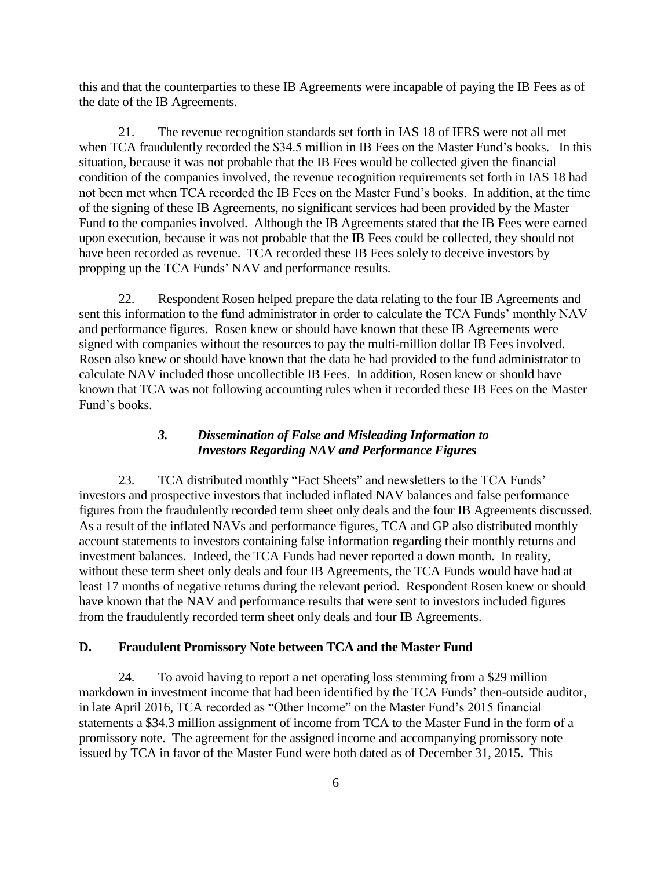this and that the counterparties to these IB Agreements were incapable of paying the IB Fees as of the date of the IB Agreements.

21. The revenue recognition standards set forth in IAS 18 of IFRS were not all met when TCA fraudulently recorded the \$34.5 million in IB Fees on the Master Fund's books. In this situation, because it was not probable that the IB Fees would be collected given the financial condition of the companies involved, the revenue recognition requirements set forth in IAS 18 had not been met when TCA recorded the IB Fees on the Master Fund's books. In addition, at the time of the signing of these IB Agreements, no significant services had been provided by the Master Fund to the companies involved. Although the IB Agreements stated that the IB Fees were earned upon execution, because it was not probable that the IB Fees could be collected, they should not have been recorded as revenue. TCA recorded these IB Fees solely to deceive investors by propping up the TCA Funds' NAV and performance results.

22. Respondent Rosen helped prepare the data relating to the four IB Agreements and sent this information to the fund administrator in order to calculate the TCA Funds' monthly NAV and performance figures. Rosen knew or should have known that these IB Agreements were signed with companies without the resources to pay the multi-million dollar IB Fees involved. Rosen also knew or should have known that the data he had provided to the fund administrator to calculate NAV included those uncollectible IB Fees. In addition, Rosen knew or should have known that TCA was not following accounting rules when it recorded these IB Fees on the Master Fund's books.

# *3. Dissemination of False and Misleading Information to Investors Regarding NAV and Performance Figures*

23. TCA distributed monthly "Fact Sheets" and newsletters to the TCA Funds' investors and prospective investors that included inflated NAV balances and false performance figures from the fraudulently recorded term sheet only deals and the four IB Agreements discussed. As a result of the inflated NAVs and performance figures, TCA and GP also distributed monthly account statements to investors containing false information regarding their monthly returns and investment balances. Indeed, the TCA Funds had never reported a down month. In reality, without these term sheet only deals and four IB Agreements, the TCA Funds would have had at least 17 months of negative returns during the relevant period. Respondent Rosen knew or should have known that the NAV and performance results that were sent to investors included figures from the fraudulently recorded term sheet only deals and four IB Agreements.

## **D. Fraudulent Promissory Note between TCA and the Master Fund**

24. To avoid having to report a net operating loss stemming from a \$29 million markdown in investment income that had been identified by the TCA Funds' then-outside auditor, in late April 2016, TCA recorded as "Other Income" on the Master Fund's 2015 financial statements a \$34.3 million assignment of income from TCA to the Master Fund in the form of a promissory note. The agreement for the assigned income and accompanying promissory note issued by TCA in favor of the Master Fund were both dated as of December 31, 2015. This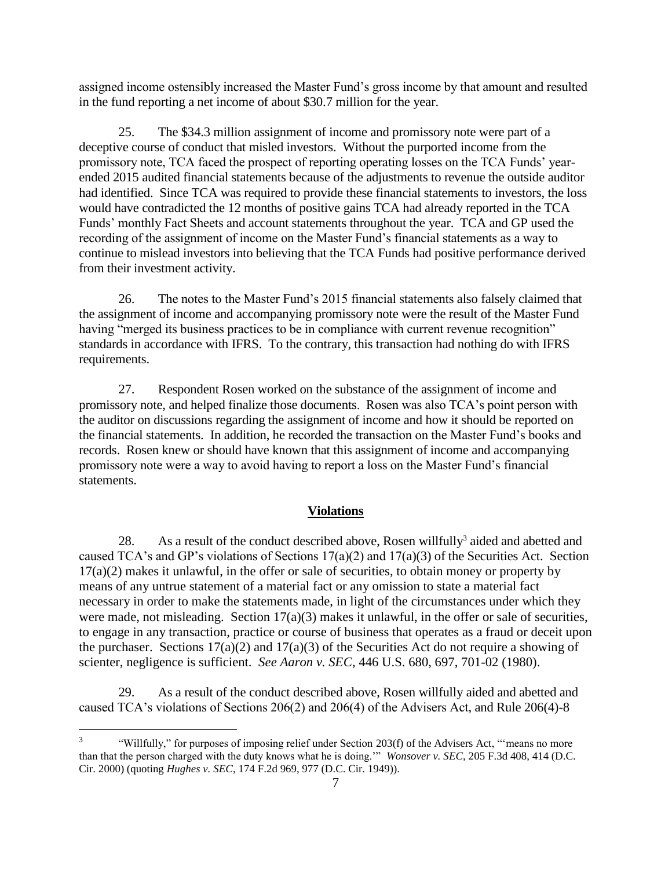assigned income ostensibly increased the Master Fund's gross income by that amount and resulted in the fund reporting a net income of about \$30.7 million for the year.

25. The \$34.3 million assignment of income and promissory note were part of a deceptive course of conduct that misled investors. Without the purported income from the promissory note, TCA faced the prospect of reporting operating losses on the TCA Funds' yearended 2015 audited financial statements because of the adjustments to revenue the outside auditor had identified. Since TCA was required to provide these financial statements to investors, the loss would have contradicted the 12 months of positive gains TCA had already reported in the TCA Funds' monthly Fact Sheets and account statements throughout the year. TCA and GP used the recording of the assignment of income on the Master Fund's financial statements as a way to continue to mislead investors into believing that the TCA Funds had positive performance derived from their investment activity.

26. The notes to the Master Fund's 2015 financial statements also falsely claimed that the assignment of income and accompanying promissory note were the result of the Master Fund having "merged its business practices to be in compliance with current revenue recognition" standards in accordance with IFRS. To the contrary, this transaction had nothing do with IFRS requirements.

27. Respondent Rosen worked on the substance of the assignment of income and promissory note, and helped finalize those documents. Rosen was also TCA's point person with the auditor on discussions regarding the assignment of income and how it should be reported on the financial statements. In addition, he recorded the transaction on the Master Fund's books and records. Rosen knew or should have known that this assignment of income and accompanying promissory note were a way to avoid having to report a loss on the Master Fund's financial statements.

#### **Violations**

28. As a result of the conduct described above, Rosen willfully<sup>3</sup> aided and abetted and caused TCA's and GP's violations of Sections 17(a)(2) and 17(a)(3) of the Securities Act. Section 17(a)(2) makes it unlawful, in the offer or sale of securities, to obtain money or property by means of any untrue statement of a material fact or any omission to state a material fact necessary in order to make the statements made, in light of the circumstances under which they were made, not misleading. Section  $17(a)(3)$  makes it unlawful, in the offer or sale of securities, to engage in any transaction, practice or course of business that operates as a fraud or deceit upon the purchaser. Sections  $17(a)(2)$  and  $17(a)(3)$  of the Securities Act do not require a showing of scienter, negligence is sufficient. *See Aaron v. SEC*, 446 U.S. 680, 697, 701-02 (1980).

As a result of the conduct described above, Rosen willfully aided and abetted and caused TCA's violations of Sections 206(2) and 206(4) of the Advisers Act, and Rule 206(4)-8

 $\overline{a}$ 

<sup>3</sup> "Willfully," for purposes of imposing relief under Section 203(f) of the Advisers Act, "'means no more than that the person charged with the duty knows what he is doing.'" *Wonsover v. SEC*, 205 F.3d 408, 414 (D.C. Cir. 2000) (quoting *Hughes v. SEC*, 174 F.2d 969, 977 (D.C. Cir. 1949)).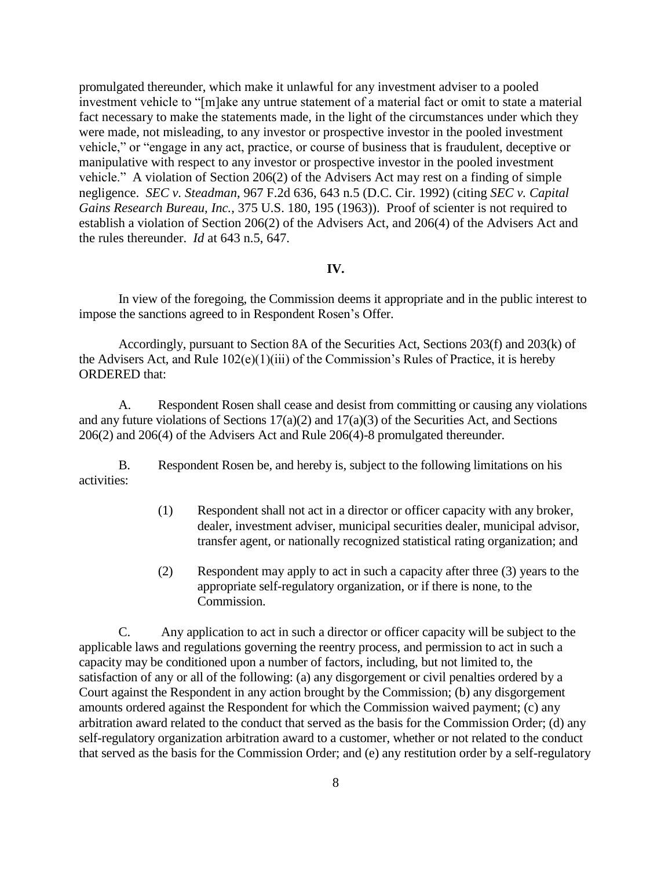promulgated thereunder, which make it unlawful for any investment adviser to a pooled investment vehicle to "[m]ake any untrue statement of a material fact or omit to state a material fact necessary to make the statements made, in the light of the circumstances under which they were made, not misleading, to any investor or prospective investor in the pooled investment vehicle," or "engage in any act, practice, or course of business that is fraudulent, deceptive or manipulative with respect to any investor or prospective investor in the pooled investment vehicle." A violation of Section 206(2) of the Advisers Act may rest on a finding of simple negligence. *SEC v. Steadman*, 967 F.2d 636, 643 n.5 (D.C. Cir. 1992) (citing *SEC v. Capital Gains Research Bureau, Inc.*, 375 U.S. 180, 195 (1963)). Proof of scienter is not required to establish a violation of Section 206(2) of the Advisers Act, and 206(4) of the Advisers Act and the rules thereunder. *Id* at 643 n.5, 647.

#### **IV.**

In view of the foregoing, the Commission deems it appropriate and in the public interest to impose the sanctions agreed to in Respondent Rosen's Offer.

Accordingly, pursuant to Section 8A of the Securities Act, Sections 203(f) and 203(k) of the Advisers Act, and Rule 102(e)(1)(iii) of the Commission's Rules of Practice, it is hereby ORDERED that:

A. Respondent Rosen shall cease and desist from committing or causing any violations and any future violations of Sections  $17(a)(2)$  and  $17(a)(3)$  of the Securities Act, and Sections 206(2) and 206(4) of the Advisers Act and Rule 206(4)-8 promulgated thereunder.

B. Respondent Rosen be, and hereby is, subject to the following limitations on his activities:

- (1) Respondent shall not act in a director or officer capacity with any broker, dealer, investment adviser, municipal securities dealer, municipal advisor, transfer agent, or nationally recognized statistical rating organization; and
- (2) Respondent may apply to act in such a capacity after three (3) years to the appropriate self-regulatory organization, or if there is none, to the Commission.

C. Any application to act in such a director or officer capacity will be subject to the applicable laws and regulations governing the reentry process, and permission to act in such a capacity may be conditioned upon a number of factors, including, but not limited to, the satisfaction of any or all of the following: (a) any disgorgement or civil penalties ordered by a Court against the Respondent in any action brought by the Commission; (b) any disgorgement amounts ordered against the Respondent for which the Commission waived payment; (c) any arbitration award related to the conduct that served as the basis for the Commission Order; (d) any self-regulatory organization arbitration award to a customer, whether or not related to the conduct that served as the basis for the Commission Order; and (e) any restitution order by a self-regulatory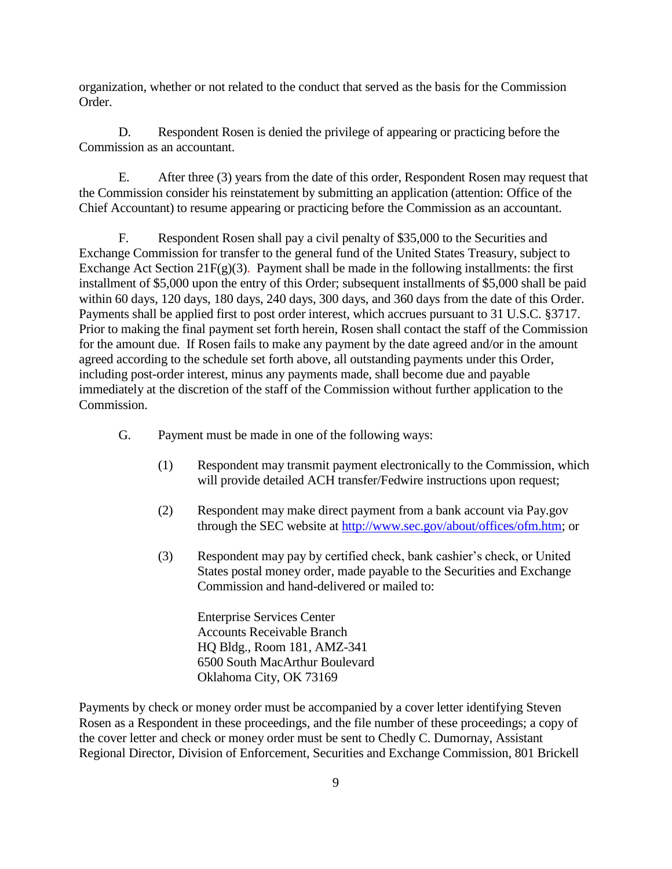organization, whether or not related to the conduct that served as the basis for the Commission Order.

D. Respondent Rosen is denied the privilege of appearing or practicing before the Commission as an accountant.

E. After three (3) years from the date of this order, Respondent Rosen may request that the Commission consider his reinstatement by submitting an application (attention: Office of the Chief Accountant) to resume appearing or practicing before the Commission as an accountant.

F. Respondent Rosen shall pay a civil penalty of \$35,000 to the Securities and Exchange Commission for transfer to the general fund of the United States Treasury, subject to Exchange Act Section 21 $F(g)(3)$ . Payment shall be made in the following installments: the first installment of \$5,000 upon the entry of this Order; subsequent installments of \$5,000 shall be paid within 60 days, 120 days, 180 days, 240 days, 300 days, and 360 days from the date of this Order. Payments shall be applied first to post order interest, which accrues pursuant to 31 U.S.C. §3717. Prior to making the final payment set forth herein, Rosen shall contact the staff of the Commission for the amount due. If Rosen fails to make any payment by the date agreed and/or in the amount agreed according to the schedule set forth above, all outstanding payments under this Order, including post-order interest, minus any payments made, shall become due and payable immediately at the discretion of the staff of the Commission without further application to the Commission.

G. Payment must be made in one of the following ways:

- (1) Respondent may transmit payment electronically to the Commission, which will provide detailed ACH transfer/Fedwire instructions upon request;
- (2) Respondent may make direct payment from a bank account via Pay.gov through the SEC website at [http://www.sec.gov/about/offices/ofm.htm;](http://www.sec.gov/about/offices/ofm.htm) or
- (3) Respondent may pay by certified check, bank cashier's check, or United States postal money order, made payable to the Securities and Exchange Commission and hand-delivered or mailed to:

Enterprise Services Center Accounts Receivable Branch HQ Bldg., Room 181, AMZ-341 6500 South MacArthur Boulevard Oklahoma City, OK 73169

Payments by check or money order must be accompanied by a cover letter identifying Steven Rosen as a Respondent in these proceedings, and the file number of these proceedings; a copy of the cover letter and check or money order must be sent to Chedly C. Dumornay, Assistant Regional Director, Division of Enforcement, Securities and Exchange Commission, 801 Brickell